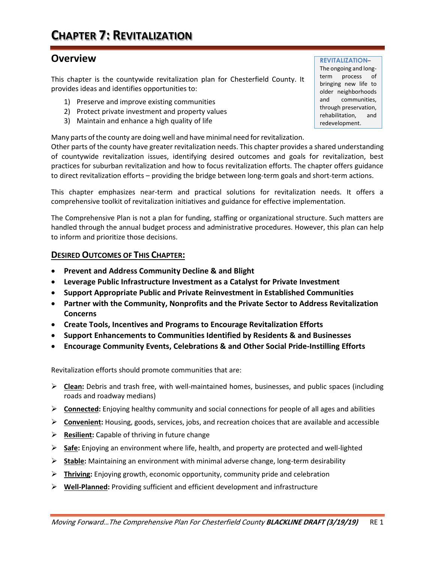# **CHAPTER 7: REVITALIZATION**

# **Overview**

This chapter is the countywide revitalization plan for Chesterfield County. It provides ideas and identifies opportunities to:

- 1) Preserve and improve existing communities
- 2) Protect private investment and property values
- 3) Maintain and enhance a high quality of life

Many parts of the county are doing well and have minimal need for revitalization.

Other parts of the county have greater revitalization needs. This chapter provides a shared understanding of countywide revitalization issues, identifying desired outcomes and goals for revitalization, best practices for suburban revitalization and how to focus revitalization efforts. The chapter offers guidance to direct revitalization efforts – providing the bridge between long-term goals and short-term actions.

This chapter emphasizes near-term and practical solutions for revitalization needs. It offers a comprehensive toolkit of revitalization initiatives and guidance for effective implementation.

The Comprehensive Plan is not a plan for funding, staffing or organizational structure. Such matters are handled through the annual budget process and administrative procedures. However, this plan can help to inform and prioritize those decisions.

### **DESIRED OUTCOMES OF THIS CHAPTER:**

- **Prevent and Address Community Decline & and Blight**
- **Leverage Public Infrastructure Investment as a Catalyst for Private Investment**
- **Support Appropriate Public and Private Reinvestment in Established Communities**
- **Partner with the Community, Nonprofits and the Private Sector to Address Revitalization Concerns**
- **Create Tools, Incentives and Programs to Encourage Revitalization Efforts**
- **Support Enhancements to Communities Identified by Residents & and Businesses**
- **Encourage Community Events, Celebrations & and Other Social Pride-Instilling Efforts**

Revitalization efforts should promote communities that are:

- ➢ **Clean:** Debris and trash free, with well-maintained homes, businesses, and public spaces (including roads and roadway medians)
- ➢ **Connected:** Enjoying healthy community and social connections for people of all ages and abilities
- ➢ **Convenient:** Housing, goods, services, jobs, and recreation choices that are available and accessible
- ➢ **Resilient:** Capable of thriving in future change
- ➢ **Safe:** Enjoying an environment where life, health, and property are protected and well-lighted
- ➢ **Stable:** Maintaining an environment with minimal adverse change, long-term desirability
- ➢ **Thriving:** Enjoying growth, economic opportunity, community pride and celebration
- ➢ **Well-Planned:** Providing sufficient and efficient development and infrastructure

The ongoing and longterm process of bringing new life to older neighborhoods and communities,

through preservation, rehabilitation, and redevelopment.

**REVITALIZATION**–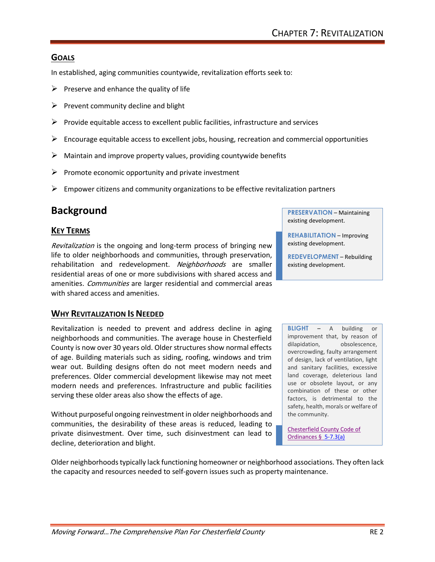### **GOALS**

In established, aging communities countywide, revitalization efforts seek to:

- $\triangleright$  Preserve and enhance the quality of life
- $\triangleright$  Prevent community decline and blight
- $\triangleright$  Provide equitable access to excellent public facilities, infrastructure and services
- $\triangleright$  Encourage equitable access to excellent jobs, housing, recreation and commercial opportunities
- $\triangleright$  Maintain and improve property values, providing countywide benefits
- $\triangleright$  Promote economic opportunity and private investment
- $\triangleright$  Empower citizens and community organizations to be effective revitalization partners

# **Background**

### **KEY TERMS**

Revitalization is the ongoing and long-term process of bringing new life to older neighborhoods and communities, through preservation, rehabilitation and redevelopment. Neighborhoods are smaller residential areas of one or more subdivisions with shared access and amenities. *Communities* are larger residential and commercial areas with shared access and amenities.

### **WHY REVITALIZATION IS NEEDED**

Revitalization is needed to prevent and address decline in aging neighborhoods and communities. The average house in Chesterfield County is now over 30 years old. Older structures show normal effects of age. Building materials such as siding, roofing, windows and trim wear out. Building designs often do not meet modern needs and preferences. Older commercial development likewise may not meet modern needs and preferences. Infrastructure and public facilities serving these older areas also show the effects of age.

Without purposeful ongoing reinvestment in older neighborhoods and communities, the desirability of these areas is reduced, leading to private disinvestment. Over time, such disinvestment can lead to decline, deterioration and blight.

**PRESERVATION** – Maintaining existing development.

**REHABILITATION** – Improving existing development.

**REDEVELOPMENT** – Rebuilding existing development.

**BLIGHT** – A building or improvement that, by reason of dilapidation, obsolescence, overcrowding, faulty arrangement of design, lack of ventilation, light and sanitary facilities, excessive land coverage, deleterious land use or obsolete layout, or any combination of these or other factors, is detrimental to the safety, health, morals or welfare of the community.

[Chesterfield County Code of](https://www.municode.com/library/va/chesterfield_county/codes/code_of_ordinances?nodeId=PTIITHCO_CH5BU_S5-7.3SALIPRDE)  [Ordinances §](https://www.municode.com/library/va/chesterfield_county/codes/code_of_ordinances?nodeId=PTIITHCO_CH5BU_S5-7.3SALIPRDE) 5-7.3(a)

Older neighborhoods typically lack functioning homeowner or neighborhood associations. They often lack the capacity and resources needed to self-govern issues such as property maintenance.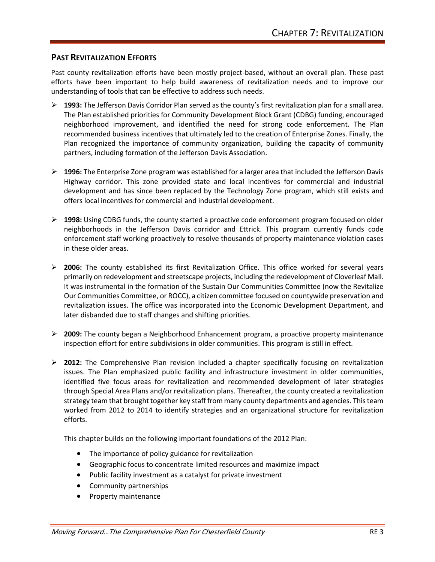### **PAST REVITALIZATION EFFORTS**

Past county revitalization efforts have been mostly project-based, without an overall plan. These past efforts have been important to help build awareness of revitalization needs and to improve our understanding of tools that can be effective to address such needs.

- ➢ **1993:** The Jefferson Davis Corridor Plan served as the county's first revitalization plan for a small area. The Plan established priorities for Community Development Block Grant (CDBG) funding, encouraged neighborhood improvement, and identified the need for strong code enforcement. The Plan recommended business incentives that ultimately led to the creation of Enterprise Zones. Finally, the Plan recognized the importance of community organization, building the capacity of community partners, including formation of the Jefferson Davis Association.
- ➢ **1996:** The Enterprise Zone program was established for a larger area that included the Jefferson Davis Highway corridor. This zone provided state and local incentives for commercial and industrial development and has since been replaced by the Technology Zone program, which still exists and offers local incentives for commercial and industrial development.
- ➢ **1998:** Using CDBG funds, the county started a proactive code enforcement program focused on older neighborhoods in the Jefferson Davis corridor and Ettrick. This program currently funds code enforcement staff working proactively to resolve thousands of property maintenance violation cases in these older areas.
- ➢ **2006:** The county established its first Revitalization Office. This office worked for several years primarily on redevelopment and streetscape projects, including the redevelopment of Cloverleaf Mall. It was instrumental in the formation of the Sustain Our Communities Committee (now the Revitalize Our Communities Committee, or ROCC), a citizen committee focused on countywide preservation and revitalization issues. The office was incorporated into the Economic Development Department, and later disbanded due to staff changes and shifting priorities.
- ➢ **2009:** The county began a Neighborhood Enhancement program, a proactive property maintenance inspection effort for entire subdivisions in older communities. This program is still in effect.
- ➢ **2012:** The Comprehensive Plan revision included a chapter specifically focusing on revitalization issues. The Plan emphasized public facility and infrastructure investment in older communities, identified five focus areas for revitalization and recommended development of later strategies through Special Area Plans and/or revitalization plans. Thereafter, the county created a revitalization strategy team that brought together key staff from many county departments and agencies. This team worked from 2012 to 2014 to identify strategies and an organizational structure for revitalization efforts.

This chapter builds on the following important foundations of the 2012 Plan:

- The importance of policy guidance for revitalization
- Geographic focus to concentrate limited resources and maximize impact
- Public facility investment as a catalyst for private investment
- Community partnerships
- Property maintenance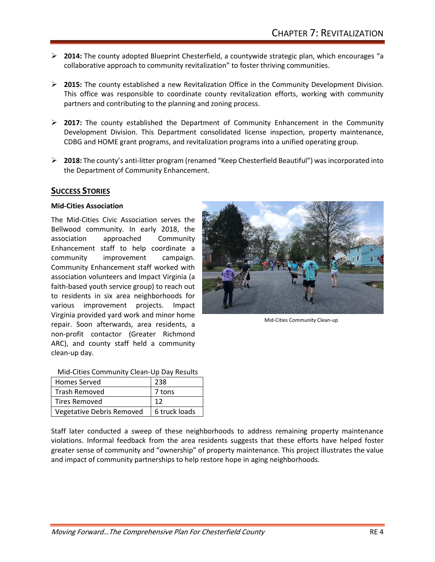- ➢ **2014:** The county adopted Blueprint Chesterfield, a countywide strategic plan, which encourages "a collaborative approach to community revitalization" to foster thriving communities.
- ➢ **2015:** The county established a new Revitalization Office in the Community Development Division. This office was responsible to coordinate county revitalization efforts, working with community partners and contributing to the planning and zoning process.
- ➢ **2017:** The county established the Department of Community Enhancement in the Community Development Division. This Department consolidated license inspection, property maintenance, CDBG and HOME grant programs, and revitalization programs into a unified operating group.
- ➢ **2018:** The county's anti-litter program (renamed "Keep Chesterfield Beautiful") was incorporated into the Department of Community Enhancement.

#### **SUCCESS STORIES**

#### **Mid-Cities Association**

The Mid-Cities Civic Association serves the Bellwood community. In early 2018, the association approached Community Enhancement staff to help coordinate a community improvement campaign. Community Enhancement staff worked with association volunteers and Impact Virginia (a faith-based youth service group) to reach out to residents in six area neighborhoods for various improvement projects. Impact Virginia provided yard work and minor home repair. Soon afterwards, area residents, a non-profit contactor (Greater Richmond ARC), and county staff held a community clean-up day.

Mid-Cities Community Clean-up

|  | Mid-Cities Community Clean-Up Day Results |
|--|-------------------------------------------|
|--|-------------------------------------------|

| <b>Homes Served</b>       | 238           |
|---------------------------|---------------|
| <b>Trash Removed</b>      | 7 tons        |
| <b>Tires Removed</b>      | 12            |
| Vegetative Debris Removed | 6 truck loads |

Staff later conducted a sweep of these neighborhoods to address remaining property maintenance violations. Informal feedback from the area residents suggests that these efforts have helped foster greater sense of community and "ownership" of property maintenance. This project illustrates the value and impact of community partnerships to help restore hope in aging neighborhoods.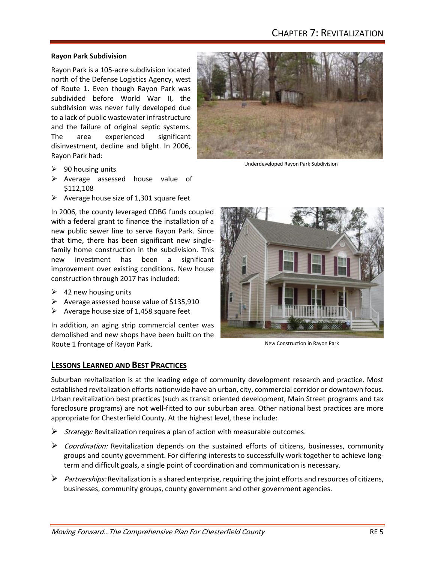# CHAPTER 7: REVITALIZATION

#### **Rayon Park Subdivision**

Rayon Park is a 105-acre subdivision located north of the Defense Logistics Agency, west of Route 1. Even though Rayon Park was subdivided before World War II, the subdivision was never fully developed due to a lack of public wastewater infrastructure and the failure of original septic systems. The area experienced significant disinvestment, decline and blight. In 2006, Rayon Park had:



Underdeveloped Rayon Park Subdivision

- $\geqslant$  90 housing units
- ➢ Average assessed house value of \$112,108
- $\triangleright$  Average house size of 1,301 square feet

In 2006, the county leveraged CDBG funds coupled with a federal grant to finance the installation of a new public sewer line to serve Rayon Park. Since that time, there has been significant new singlefamily home construction in the subdivision. This new investment has been a significant improvement over existing conditions. New house construction through 2017 has included:

- $\geq$  42 new housing units
- $\triangleright$  Average assessed house value of \$135,910
- $\triangleright$  Average house size of 1,458 square feet

In addition, an aging strip commercial center was demolished and new shops have been built on the Route 1 frontage of Rayon Park.

# **LESSONS LEARNED AND BEST PRACTICES**



New Construction in Rayon Park

Suburban revitalization is at the leading edge of community development research and practice. Most established revitalization efforts nationwide have an urban, city, commercial corridor or downtown focus. Urban revitalization best practices (such as transit oriented development, Main Street programs and tax foreclosure programs) are not well-fitted to our suburban area. Other national best practices are more appropriate for Chesterfield County. At the highest level, these include:

- $\triangleright$  *Strategy:* Revitalization requires a plan of action with measurable outcomes.
- $\triangleright$  Coordination: Revitalization depends on the sustained efforts of citizens, businesses, community groups and county government. For differing interests to successfully work together to achieve longterm and difficult goals, a single point of coordination and communication is necessary.
- ➢ Partnerships: Revitalization is a shared enterprise, requiring the joint efforts and resources of citizens, businesses, community groups, county government and other government agencies.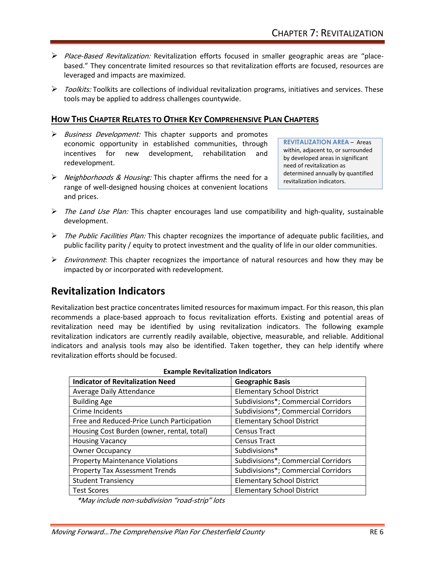- ➢ Place-Based Revitalization: Revitalization efforts focused in smaller geographic areas are "placebased." They concentrate limited resources so that revitalization efforts are focused, resources are leveraged and impacts are maximized.
- $\triangleright$  Toolkits: Toolkits are collections of individual revitalization programs, initiatives and services. These tools may be applied to address challenges countywide.

# **HOW THIS CHAPTER RELATES TO OTHER KEY COMPREHENSIVE PLAN CHAPTERS**

➢ Business Development: This chapter supports and promotes economic opportunity in established communities, through incentives for new development, rehabilitation and redevelopment.

**REVITALIZATION AREA** – Areas within, adjacent to, or surrounded by developed areas in significant need of revitalization as determined annually by quantified revitalization indicators.

- ➢ Neighborhoods & Housing: This chapter affirms the need for a range of well-designed housing choices at convenient locations and prices.
- $\triangleright$  The Land Use Plan: This chapter encourages land use compatibility and high-quality, sustainable development.
- $\triangleright$  The Public Facilities Plan: This chapter recognizes the importance of adequate public facilities, and public facility parity / equity to protect investment and the quality of life in our older communities.
- $\triangleright$  Environment: This chapter recognizes the importance of natural resources and how they may be impacted by or incorporated with redevelopment.

# **Revitalization Indicators**

Revitalization best practice concentrates limited resources for maximum impact. For this reason, this plan recommends a place-based approach to focus revitalization efforts. Existing and potential areas of revitalization need may be identified by using revitalization indicators. The following example revitalization indicators are currently readily available, objective, measurable, and reliable. Additional indicators and analysis tools may also be identified. Taken together, they can help identify where revitalization efforts should be focused.

| <b>Indicator of Revitalization Need</b>    | <b>Geographic Basis</b>             |
|--------------------------------------------|-------------------------------------|
| Average Daily Attendance                   | <b>Elementary School District</b>   |
| <b>Building Age</b>                        | Subdivisions*; Commercial Corridors |
| Crime Incidents                            | Subdivisions*; Commercial Corridors |
| Free and Reduced-Price Lunch Participation | <b>Elementary School District</b>   |
| Housing Cost Burden (owner, rental, total) | <b>Census Tract</b>                 |
| <b>Housing Vacancy</b>                     | <b>Census Tract</b>                 |
| <b>Owner Occupancy</b>                     | Subdivisions*                       |
| <b>Property Maintenance Violations</b>     | Subdivisions*; Commercial Corridors |
| <b>Property Tax Assessment Trends</b>      | Subdivisions*; Commercial Corridors |
| <b>Student Transiency</b>                  | <b>Elementary School District</b>   |
| <b>Test Scores</b>                         | <b>Elementary School District</b>   |

#### **Example Revitalization Indicators**

\*May include non-subdivision "road-strip" lots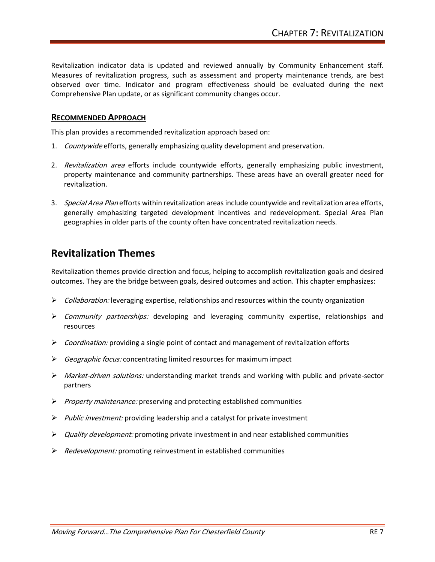Revitalization indicator data is updated and reviewed annually by Community Enhancement staff. Measures of revitalization progress, such as assessment and property maintenance trends, are best observed over time. Indicator and program effectiveness should be evaluated during the next Comprehensive Plan update, or as significant community changes occur.

### **RECOMMENDED APPROACH**

This plan provides a recommended revitalization approach based on:

- 1. Countywide efforts, generally emphasizing quality development and preservation.
- 2. Revitalization area efforts include countywide efforts, generally emphasizing public investment, property maintenance and community partnerships. These areas have an overall greater need for revitalization.
- 3. Special Area Plan efforts within revitalization areas include countywide and revitalization area efforts, generally emphasizing targeted development incentives and redevelopment. Special Area Plan geographies in older parts of the county often have concentrated revitalization needs.

# **Revitalization Themes**

Revitalization themes provide direction and focus, helping to accomplish revitalization goals and desired outcomes. They are the bridge between goals, desired outcomes and action. This chapter emphasizes:

- $\triangleright$  *Collaboration:* leveraging expertise, relationships and resources within the county organization
- $\triangleright$  *Community partnerships:* developing and leveraging community expertise, relationships and resources
- ➢ Coordination: providing a single point of contact and management of revitalization efforts
- ➢ Geographic focus: concentrating limited resources for maximum impact
- $\triangleright$  Market-driven solutions: understanding market trends and working with public and private-sector partners
- $\triangleright$  Property maintenance: preserving and protecting established communities
- $\triangleright$  *Public investment:* providing leadership and a catalyst for private investment
- $\triangleright$  Quality development: promoting private investment in and near established communities
- $\triangleright$  Redevelopment: promoting reinvestment in established communities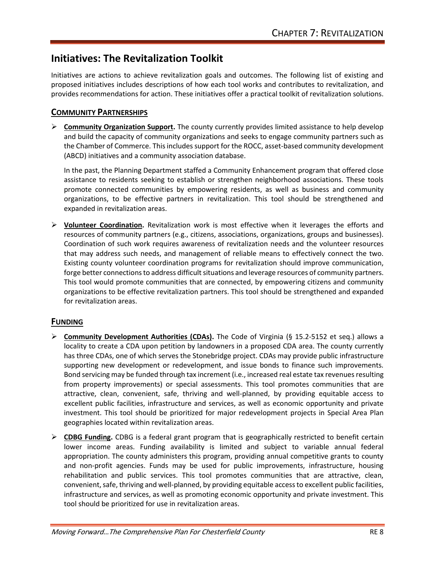# **Initiatives: The Revitalization Toolkit**

Initiatives are actions to achieve revitalization goals and outcomes. The following list of existing and proposed initiatives includes descriptions of how each tool works and contributes to revitalization, and provides recommendations for action. These initiatives offer a practical toolkit of revitalization solutions.

### **COMMUNITY PARTNERSHIPS**

➢ **Community Organization Support.** The county currently provides limited assistance to help develop and build the capacity of community organizations and seeks to engage community partners such as the Chamber of Commerce. This includes support for the ROCC, asset-based community development (ABCD) initiatives and a community association database.

In the past, the Planning Department staffed a Community Enhancement program that offered close assistance to residents seeking to establish or strengthen neighborhood associations. These tools promote connected communities by empowering residents, as well as business and community organizations, to be effective partners in revitalization. This tool should be strengthened and expanded in revitalization areas.

➢ **Volunteer Coordination.** Revitalization work is most effective when it leverages the efforts and resources of community partners (e.g., citizens, associations, organizations, groups and businesses). Coordination of such work requires awareness of revitalization needs and the volunteer resources that may address such needs, and management of reliable means to effectively connect the two. Existing county volunteer coordination programs for revitalization should improve communication, forge better connections to address difficult situations and leverage resources of community partners. This tool would promote communities that are connected, by empowering citizens and community organizations to be effective revitalization partners. This tool should be strengthened and expanded for revitalization areas.

### **FUNDING**

- ➢ **Community Development Authorities (CDAs).** The Code of Virginia (§ 15.2-5152 et seq.) allows a locality to create a CDA upon petition by landowners in a proposed CDA area. The county currently has three CDAs, one of which serves the Stonebridge project. CDAs may provide public infrastructure supporting new development or redevelopment, and issue bonds to finance such improvements. Bond servicing may be funded through tax increment (i.e., increased real estate tax revenues resulting from property improvements) or special assessments. This tool promotes communities that are attractive, clean, convenient, safe, thriving and well-planned, by providing equitable access to excellent public facilities, infrastructure and services, as well as economic opportunity and private investment. This tool should be prioritized for major redevelopment projects in Special Area Plan geographies located within revitalization areas.
- ➢ **CDBG Funding.** CDBG is a federal grant program that is geographically restricted to benefit certain lower income areas. Funding availability is limited and subject to variable annual federal appropriation. The county administers this program, providing annual competitive grants to county and non-profit agencies. Funds may be used for public improvements, infrastructure, housing rehabilitation and public services. This tool promotes communities that are attractive, clean, convenient, safe, thriving and well-planned, by providing equitable access to excellent public facilities, infrastructure and services, as well as promoting economic opportunity and private investment. This tool should be prioritized for use in revitalization areas.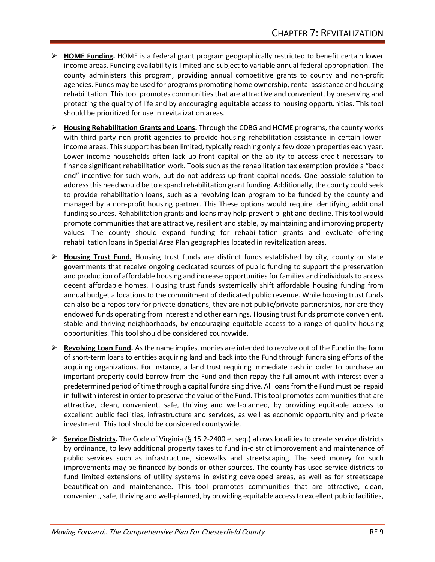- ➢ **HOME Funding.** HOME is a federal grant program geographically restricted to benefit certain lower income areas. Funding availability is limited and subject to variable annual federal appropriation. The county administers this program, providing annual competitive grants to county and non-profit agencies. Funds may be used for programs promoting home ownership, rental assistance and housing rehabilitation. This tool promotes communities that are attractive and convenient, by preserving and protecting the quality of life and by encouraging equitable access to housing opportunities. This tool should be prioritized for use in revitalization areas.
- ➢ **Housing Rehabilitation Grants and Loans.** Through the CDBG and HOME programs, the county works with third party non-profit agencies to provide housing rehabilitation assistance in certain lowerincome areas. This support has been limited, typically reaching only a few dozen properties each year. Lower income households often lack up-front capital or the ability to access credit necessary to finance significant rehabilitation work. Tools such as the rehabilitation tax exemption provide a "back end" incentive for such work, but do not address up-front capital needs. One possible solution to address this need would be to expand rehabilitation grant funding. Additionally, the county could seek to provide rehabilitation loans, such as a revolving loan program to be funded by the county and managed by a non-profit housing partner. This These options would require identifying additional funding sources. Rehabilitation grants and loans may help prevent blight and decline. This tool would promote communities that are attractive, resilient and stable, by maintaining and improving property values. The county should expand funding for rehabilitation grants and evaluate offering rehabilitation loans in Special Area Plan geographies located in revitalization areas.
- ➢ **Housing Trust Fund.** Housing trust funds are distinct funds established by city, county or state governments that receive ongoing dedicated sources of public funding to support the preservation and production of affordable housing and increase opportunities for families and individuals to access decent affordable homes. Housing trust funds systemically shift affordable housing funding from annual budget allocations to the commitment of dedicated public revenue. While housing trust funds can also be a repository for private donations, they are not public/private partnerships, nor are they endowed funds operating from interest and other earnings. Housing trust funds promote convenient, stable and thriving neighborhoods, by encouraging equitable access to a range of quality housing opportunities. This tool should be considered countywide.
- ➢ **Revolving Loan Fund.** As the name implies, monies are intended to revolve out of the Fund in the form of short-term loans to entities acquiring land and back into the Fund through fundraising efforts of the acquiring organizations. For instance, a land trust requiring immediate cash in order to purchase an important property could borrow from the Fund and then repay the full amount with interest over a predetermined period of time through a capital fundraising drive. All loans from the Fund must be repaid in full with interest in order to preserve the value of the Fund. This tool promotes communities that are attractive, clean, convenient, safe, thriving and well-planned, by providing equitable access to excellent public facilities, infrastructure and services, as well as economic opportunity and private investment. This tool should be considered countywide.
- ➢ **Service Districts.** The Code of Virginia (§ 15.2-2400 et seq.) allows localities to create service districts by ordinance, to levy additional property taxes to fund in-district improvement and maintenance of public services such as infrastructure, sidewalks and streetscaping. The seed money for such improvements may be financed by bonds or other sources. The county has used service districts to fund limited extensions of utility systems in existing developed areas, as well as for streetscape beautification and maintenance. This tool promotes communities that are attractive, clean, convenient, safe, thriving and well-planned, by providing equitable access to excellent public facilities,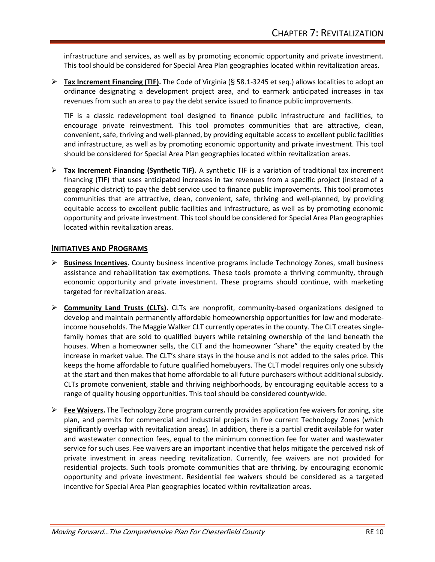infrastructure and services, as well as by promoting economic opportunity and private investment. This tool should be considered for Special Area Plan geographies located within revitalization areas.

➢ **Tax Increment Financing (TIF).** The Code of Virginia (§ 58.1-3245 et seq.) allows localities to adopt an ordinance designating a development project area, and to earmark anticipated increases in tax revenues from such an area to pay the debt service issued to finance public improvements.

TIF is a classic redevelopment tool designed to finance public infrastructure and facilities, to encourage private reinvestment. This tool promotes communities that are attractive, clean, convenient, safe, thriving and well-planned, by providing equitable access to excellent public facilities and infrastructure, as well as by promoting economic opportunity and private investment. This tool should be considered for Special Area Plan geographies located within revitalization areas.

➢ **Tax Increment Financing (Synthetic TIF).** A synthetic TIF is a variation of traditional tax increment financing (TIF) that uses anticipated increases in tax revenues from a specific project (instead of a geographic district) to pay the debt service used to finance public improvements. This tool promotes communities that are attractive, clean, convenient, safe, thriving and well-planned, by providing equitable access to excellent public facilities and infrastructure, as well as by promoting economic opportunity and private investment. This tool should be considered for Special Area Plan geographies located within revitalization areas.

#### **INITIATIVES AND PROGRAMS**

- ➢ **Business Incentives.** County business incentive programs include Technology Zones, small business assistance and rehabilitation tax exemptions. These tools promote a thriving community, through economic opportunity and private investment. These programs should continue, with marketing targeted for revitalization areas.
- ➢ **Community Land Trusts (CLTs).** CLTs are nonprofit, community-based organizations designed to develop and maintain permanently affordable homeownership opportunities for low and moderateincome households. The Maggie Walker CLT currently operates in the county. The CLT creates singlefamily homes that are sold to qualified buyers while retaining ownership of the land beneath the houses. When a homeowner sells, the CLT and the homeowner "share" the equity created by the increase in market value. The CLT's share stays in the house and is not added to the sales price. This keeps the home affordable to future qualified homebuyers. The CLT model requires only one subsidy at the start and then makes that home affordable to all future purchasers without additional subsidy. CLTs promote convenient, stable and thriving neighborhoods, by encouraging equitable access to a range of quality housing opportunities. This tool should be considered countywide.
- ➢ **Fee Waivers.** The Technology Zone program currently provides application fee waivers for zoning, site plan, and permits for commercial and industrial projects in five current Technology Zones (which significantly overlap with revitalization areas). In addition, there is a partial credit available for water and wastewater connection fees, equal to the minimum connection fee for water and wastewater service for such uses. Fee waivers are an important incentive that helps mitigate the perceived risk of private investment in areas needing revitalization. Currently, fee waivers are not provided for residential projects. Such tools promote communities that are thriving, by encouraging economic opportunity and private investment. Residential fee waivers should be considered as a targeted incentive for Special Area Plan geographies located within revitalization areas.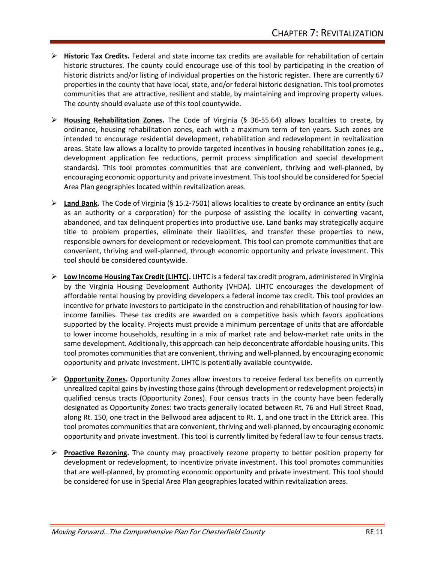- ➢ **Historic Tax Credits.** Federal and state income tax credits are available for rehabilitation of certain historic structures. The county could encourage use of this tool by participating in the creation of historic districts and/or listing of individual properties on the historic register. There are currently 67 properties in the county that have local, state, and/or federal historic designation. This tool promotes communities that are attractive, resilient and stable, by maintaining and improving property values. The county should evaluate use of this tool countywide.
- ➢ **Housing Rehabilitation Zones.** The Code of Virginia (§ 36-55.64) allows localities to create, by ordinance, housing rehabilitation zones, each with a maximum term of ten years. Such zones are intended to encourage residential development, rehabilitation and redevelopment in revitalization areas. State law allows a locality to provide targeted incentives in housing rehabilitation zones (e.g., development application fee reductions, permit process simplification and special development standards). This tool promotes communities that are convenient, thriving and well-planned, by encouraging economic opportunity and private investment. This tool should be considered for Special Area Plan geographies located within revitalization areas.
- ➢ **Land Bank.** The Code of Virginia (§ 15.2-7501) allows localities to create by ordinance an entity (such as an authority or a corporation) for the purpose of assisting the locality in converting vacant, abandoned, and tax delinquent properties into productive use. Land banks may strategically acquire title to problem properties, eliminate their liabilities, and transfer these properties to new, responsible owners for development or redevelopment. This tool can promote communities that are convenient, thriving and well-planned, through economic opportunity and private investment. This tool should be considered countywide.
- ➢ **Low Income Housing Tax Credit (LIHTC).** LIHTC is a federal tax credit program, administered in Virginia by the Virginia Housing Development Authority (VHDA). LIHTC encourages the development of affordable rental housing by providing developers a federal income tax credit. This tool provides an incentive for private investors to participate in the construction and rehabilitation of housing for lowincome families. These tax credits are awarded on a competitive basis which favors applications supported by the locality. Projects must provide a minimum percentage of units that are affordable to lower income households, resulting in a mix of market rate and below-market rate units in the same development. Additionally, this approach can help deconcentrate affordable housing units. This tool promotes communities that are convenient, thriving and well-planned, by encouraging economic opportunity and private investment. LIHTC is potentially available countywide.
- ➢ **Opportunity Zones.** Opportunity Zones allow investors to receive federal tax benefits on currently unrealized capital gains by investing those gains (through development or redevelopment projects) in qualified census tracts (Opportunity Zones). Four census tracts in the county have been federally designated as Opportunity Zones: two tracts generally located between Rt. 76 and Hull Street Road, along Rt. 150, one tract in the Bellwood area adjacent to Rt. 1, and one tract in the Ettrick area. This tool promotes communities that are convenient, thriving and well-planned, by encouraging economic opportunity and private investment. This tool is currently limited by federal law to four census tracts.
- ➢ **Proactive Rezoning.** The county may proactively rezone property to better position property for development or redevelopment, to incentivize private investment. This tool promotes communities that are well-planned, by promoting economic opportunity and private investment. This tool should be considered for use in Special Area Plan geographies located within revitalization areas.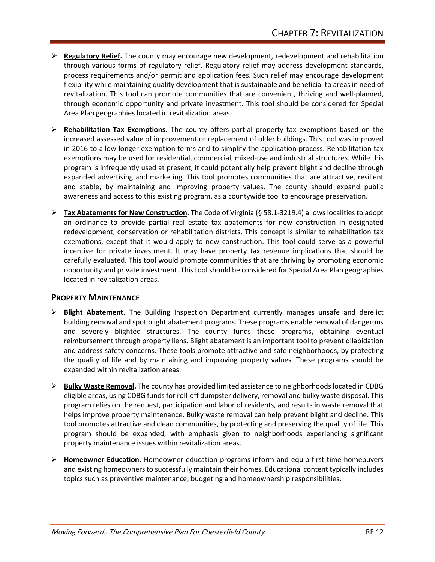- ➢ **Regulatory Relief.** The county may encourage new development, redevelopment and rehabilitation through various forms of regulatory relief. Regulatory relief may address development standards, process requirements and/or permit and application fees. Such relief may encourage development flexibility while maintaining quality development that is sustainable and beneficial to areas in need of revitalization. This tool can promote communities that are convenient, thriving and well-planned, through economic opportunity and private investment. This tool should be considered for Special Area Plan geographies located in revitalization areas.
- ➢ **Rehabilitation Tax Exemptions.** The county offers partial property tax exemptions based on the increased assessed value of improvement or replacement of older buildings. This tool was improved in 2016 to allow longer exemption terms and to simplify the application process. Rehabilitation tax exemptions may be used for residential, commercial, mixed-use and industrial structures. While this program is infrequently used at present, it could potentially help prevent blight and decline through expanded advertising and marketing. This tool promotes communities that are attractive, resilient and stable, by maintaining and improving property values. The county should expand public awareness and access to this existing program, as a countywide tool to encourage preservation.
- ➢ **Tax Abatements for New Construction.** The Code of Virginia (§ 58.1-3219.4) allows localities to adopt an ordinance to provide partial real estate tax abatements for new construction in designated redevelopment, conservation or rehabilitation districts. This concept is similar to rehabilitation tax exemptions, except that it would apply to new construction. This tool could serve as a powerful incentive for private investment. It may have property tax revenue implications that should be carefully evaluated. This tool would promote communities that are thriving by promoting economic opportunity and private investment. This tool should be considered for Special Area Plan geographies located in revitalization areas.

### **PROPERTY MAINTENANCE**

- ➢ **Blight Abatement.** The Building Inspection Department currently manages unsafe and derelict building removal and spot blight abatement programs. These programs enable removal of dangerous and severely blighted structures. The county funds these programs, obtaining eventual reimbursement through property liens. Blight abatement is an important tool to prevent dilapidation and address safety concerns. These tools promote attractive and safe neighborhoods, by protecting the quality of life and by maintaining and improving property values. These programs should be expanded within revitalization areas.
- ➢ **Bulky Waste Removal.** The county has provided limited assistance to neighborhoods located in CDBG eligible areas, using CDBG funds for roll-off dumpster delivery, removal and bulky waste disposal. This program relies on the request, participation and labor of residents, and results in waste removal that helps improve property maintenance. Bulky waste removal can help prevent blight and decline. This tool promotes attractive and clean communities, by protecting and preserving the quality of life. This program should be expanded, with emphasis given to neighborhoods experiencing significant property maintenance issues within revitalization areas.
- ➢ **Homeowner Education.** Homeowner education programs inform and equip first-time homebuyers and existing homeowners to successfully maintain their homes. Educational content typically includes topics such as preventive maintenance, budgeting and homeownership responsibilities.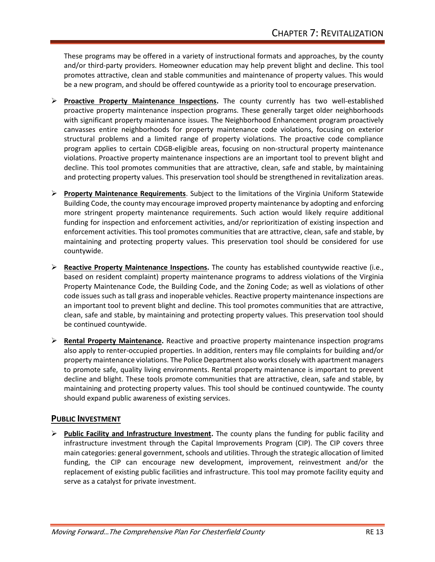These programs may be offered in a variety of instructional formats and approaches, by the county and/or third-party providers. Homeowner education may help prevent blight and decline. This tool promotes attractive, clean and stable communities and maintenance of property values. This would be a new program, and should be offered countywide as a priority tool to encourage preservation.

- ➢ **Proactive Property Maintenance Inspections.** The county currently has two well-established proactive property maintenance inspection programs. These generally target older neighborhoods with significant property maintenance issues. The Neighborhood Enhancement program proactively canvasses entire neighborhoods for property maintenance code violations, focusing on exterior structural problems and a limited range of property violations. The proactive code compliance program applies to certain CDGB-eligible areas, focusing on non-structural property maintenance violations. Proactive property maintenance inspections are an important tool to prevent blight and decline. This tool promotes communities that are attractive, clean, safe and stable, by maintaining and protecting property values. This preservation tool should be strengthened in revitalization areas.
- ➢ **Property Maintenance Requirements**. Subject to the limitations of the Virginia Uniform Statewide Building Code, the county may encourage improved property maintenance by adopting and enforcing more stringent property maintenance requirements. Such action would likely require additional funding for inspection and enforcement activities, and/or reprioritization of existing inspection and enforcement activities. This tool promotes communities that are attractive, clean, safe and stable, by maintaining and protecting property values. This preservation tool should be considered for use countywide.
- ➢ **Reactive Property Maintenance Inspections.** The county has established countywide reactive (i.e., based on resident complaint) property maintenance programs to address violations of the Virginia Property Maintenance Code, the Building Code, and the Zoning Code; as well as violations of other code issues such as tall grass and inoperable vehicles. Reactive property maintenance inspections are an important tool to prevent blight and decline. This tool promotes communities that are attractive, clean, safe and stable, by maintaining and protecting property values. This preservation tool should be continued countywide.
- ➢ **Rental Property Maintenance.** Reactive and proactive property maintenance inspection programs also apply to renter-occupied properties. In addition, renters may file complaints for building and/or property maintenance violations. The Police Department also works closely with apartment managers to promote safe, quality living environments. Rental property maintenance is important to prevent decline and blight. These tools promote communities that are attractive, clean, safe and stable, by maintaining and protecting property values. This tool should be continued countywide. The county should expand public awareness of existing services.

### **PUBLIC INVESTMENT**

➢ **Public Facility and Infrastructure Investment.** The county plans the funding for public facility and infrastructure investment through the Capital Improvements Program (CIP). The CIP covers three main categories: general government, schools and utilities. Through the strategic allocation of limited funding, the CIP can encourage new development, improvement, reinvestment and/or the replacement of existing public facilities and infrastructure. This tool may promote facility equity and serve as a catalyst for private investment.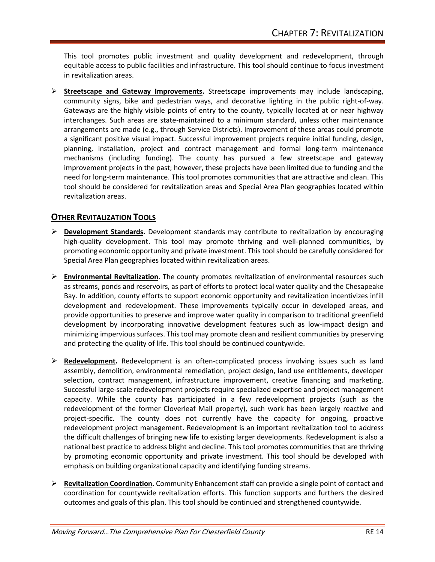This tool promotes public investment and quality development and redevelopment, through equitable access to public facilities and infrastructure. This tool should continue to focus investment in revitalization areas.

➢ **Streetscape and Gateway Improvements.** Streetscape improvements may include landscaping, community signs, bike and pedestrian ways, and decorative lighting in the public right-of-way. Gateways are the highly visible points of entry to the county, typically located at or near highway interchanges. Such areas are state-maintained to a minimum standard, unless other maintenance arrangements are made (e.g., through Service Districts). Improvement of these areas could promote a significant positive visual impact. Successful improvement projects require initial funding, design, planning, installation, project and contract management and formal long-term maintenance mechanisms (including funding). The county has pursued a few streetscape and gateway improvement projects in the past; however, these projects have been limited due to funding and the need for long-term maintenance. This tool promotes communities that are attractive and clean. This tool should be considered for revitalization areas and Special Area Plan geographies located within revitalization areas.

### **OTHER REVITALIZATION TOOLS**

- ➢ **Development Standards.** Development standards may contribute to revitalization by encouraging high-quality development. This tool may promote thriving and well-planned communities, by promoting economic opportunity and private investment. This tool should be carefully considered for Special Area Plan geographies located within revitalization areas.
- ➢ **Environmental Revitalization**. The county promotes revitalization of environmental resources such as streams, ponds and reservoirs, as part of efforts to protect local water quality and the Chesapeake Bay. In addition, county efforts to support economic opportunity and revitalization incentivizes infill development and redevelopment. These improvements typically occur in developed areas, and provide opportunities to preserve and improve water quality in comparison to traditional greenfield development by incorporating innovative development features such as low-impact design and minimizing impervious surfaces. This tool may promote clean and resilient communities by preserving and protecting the quality of life. This tool should be continued countywide.
- ➢ **Redevelopment.** Redevelopment is an often-complicated process involving issues such as land assembly, demolition, environmental remediation, project design, land use entitlements, developer selection, contract management, infrastructure improvement, creative financing and marketing. Successful large-scale redevelopment projects require specialized expertise and project management capacity. While the county has participated in a few redevelopment projects (such as the redevelopment of the former Cloverleaf Mall property), such work has been largely reactive and project-specific. The county does not currently have the capacity for ongoing, proactive redevelopment project management. Redevelopment is an important revitalization tool to address the difficult challenges of bringing new life to existing larger developments. Redevelopment is also a national best practice to address blight and decline. This tool promotes communities that are thriving by promoting economic opportunity and private investment. This tool should be developed with emphasis on building organizational capacity and identifying funding streams.
- ➢ **Revitalization Coordination.** Community Enhancement staff can provide a single point of contact and coordination for countywide revitalization efforts. This function supports and furthers the desired outcomes and goals of this plan. This tool should be continued and strengthened countywide.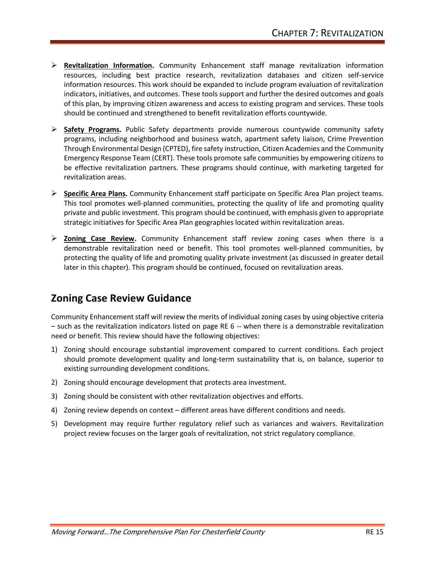- ➢ **Revitalization Information.** Community Enhancement staff manage revitalization information resources, including best practice research, revitalization databases and citizen self-service information resources. This work should be expanded to include program evaluation of revitalization indicators, initiatives, and outcomes. These tools support and further the desired outcomes and goals of this plan, by improving citizen awareness and access to existing program and services. These tools should be continued and strengthened to benefit revitalization efforts countywide.
- ➢ **Safety Programs.** Public Safety departments provide numerous countywide community safety programs, including neighborhood and business watch, apartment safety liaison, Crime Prevention Through Environmental Design (CPTED), fire safety instruction, Citizen Academies and the Community Emergency Response Team (CERT). These tools promote safe communities by empowering citizens to be effective revitalization partners. These programs should continue, with marketing targeted for revitalization areas.
- ➢ **Specific Area Plans.** Community Enhancement staff participate on Specific Area Plan project teams. This tool promotes well-planned communities, protecting the quality of life and promoting quality private and public investment. This program should be continued, with emphasis given to appropriate strategic initiatives for Specific Area Plan geographies located within revitalization areas.
- ➢ **Zoning Case Review.** Community Enhancement staff review zoning cases when there is a demonstrable revitalization need or benefit. This tool promotes well-planned communities, by protecting the quality of life and promoting quality private investment (as discussed in greater detail later in this chapter). This program should be continued, focused on revitalization areas.

# **Zoning Case Review Guidance**

Community Enhancement staff will review the merits of individual zoning cases by using objective criteria – such as the revitalization indicators listed on page RE 6 -- when there is a demonstrable revitalization need or benefit. This review should have the following objectives:

- 1) Zoning should encourage substantial improvement compared to current conditions. Each project should promote development quality and long-term sustainability that is, on balance, superior to existing surrounding development conditions.
- 2) Zoning should encourage development that protects area investment.
- 3) Zoning should be consistent with other revitalization objectives and efforts.
- 4) Zoning review depends on context different areas have different conditions and needs.
- 5) Development may require further regulatory relief such as variances and waivers. Revitalization project review focuses on the larger goals of revitalization, not strict regulatory compliance.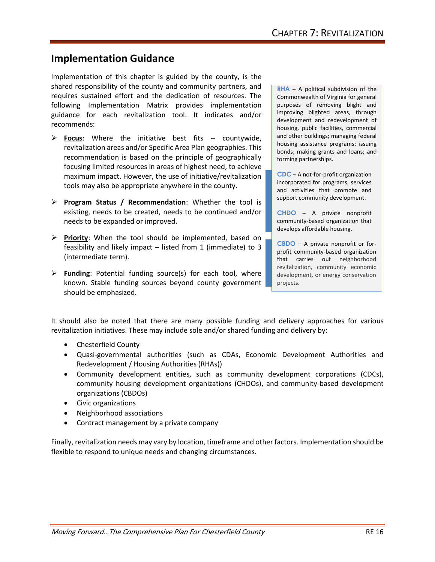# **Implementation Guidance**

Implementation of this chapter is guided by the county, is the shared responsibility of the county and community partners, and requires sustained effort and the dedication of resources. The following Implementation Matrix provides implementation guidance for each revitalization tool. It indicates and/or recommends:

- ➢ **Focus**: Where the initiative best fits -- countywide, revitalization areas and/or Specific Area Plan geographies. This recommendation is based on the principle of geographically focusing limited resources in areas of highest need, to achieve maximum impact. However, the use of initiative/revitalization tools may also be appropriate anywhere in the county.
- ➢ **Program Status / Recommendation**: Whether the tool is existing, needs to be created, needs to be continued and/or needs to be expanded or improved.
- ➢ **Priority**: When the tool should be implemented, based on feasibility and likely impact – listed from 1 (immediate) to 3 (intermediate term).
- ➢ **Funding**: Potential funding source(s) for each tool, where known. Stable funding sources beyond county government should be emphasized.

**RHA** – A political subdivision of the Commonwealth of Virginia for general purposes of removing blight and improving blighted areas, through development and redevelopment of housing, public facilities, commercial and other buildings; managing federal housing assistance programs; issuing bonds; making grants and loans; and forming partnerships.

**CDC** – A not-for-profit organization incorporated for programs, services and activities that promote and support community development.

**CHDO** – A private nonprofit community-based organization that develops affordable housing.

**CBDO** – A private nonprofit or forprofit community-based organization that carries out neighborhood revitalization, community economic development, or energy conservation projects.

It should also be noted that there are many possible funding and delivery approaches for various revitalization initiatives. These may include sole and/or shared funding and delivery by:

- Chesterfield County
- Quasi-governmental authorities (such as CDAs, Economic Development Authorities and Redevelopment / Housing Authorities (RHAs))
- Community development entities, such as community development corporations (CDCs), community housing development organizations (CHDOs), and community-based development organizations (CBDOs)
- Civic organizations
- Neighborhood associations
- Contract management by a private company

Finally, revitalization needs may vary by location, timeframe and other factors. Implementation should be flexible to respond to unique needs and changing circumstances.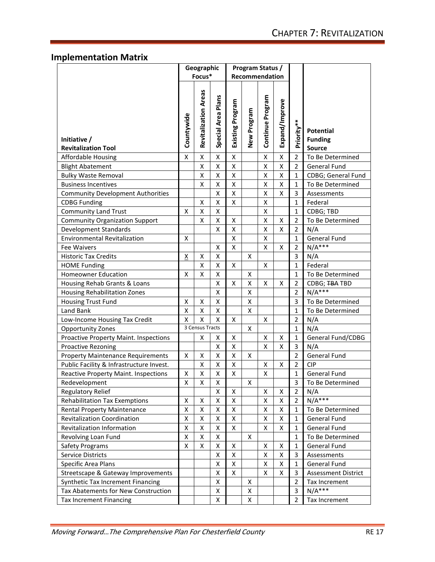# **Implementation Matrix**

|                                            |                    | Geographic                  |                    | Program Status /   |             |                  |                    |                         |                                              |
|--------------------------------------------|--------------------|-----------------------------|--------------------|--------------------|-------------|------------------|--------------------|-------------------------|----------------------------------------------|
|                                            |                    | Focus*                      |                    | Recommendation     |             |                  |                    |                         |                                              |
| Initiative /<br><b>Revitalization Tool</b> | Countywide         | <b>Revitalization Areas</b> | Special Area Plans | Existing Program   | New Program | Continue Program | Expand/Improve     | Priority**              | <b>Potential</b><br><b>Funding</b><br>Source |
| <b>Affordable Housing</b>                  | X                  | X                           | X                  | X                  |             | Χ                | $\pmb{\mathsf{X}}$ | $\overline{2}$          | To Be Determined                             |
| <b>Blight Abatement</b>                    |                    | $\pmb{\mathsf{X}}$          | $\pmb{\mathsf{X}}$ | Χ                  |             | Χ                | $\pmb{\mathsf{X}}$ | $\overline{2}$          | <b>General Fund</b>                          |
| <b>Bulky Waste Removal</b>                 |                    | X                           | $\pmb{\mathsf{X}}$ | X                  |             | Χ                | $\pmb{\mathsf{X}}$ | $\mathbf 1$             | CDBG; General Fund                           |
| <b>Business Incentives</b>                 |                    | X                           | Χ                  | X                  |             | X                | $\pmb{\mathsf{X}}$ | $\mathbf{1}$            | To Be Determined                             |
| <b>Community Development Authorities</b>   |                    |                             | $\pmb{\mathsf{X}}$ | X                  |             | X                | $\pmb{\mathsf{X}}$ | $\overline{3}$          | Assessments                                  |
| <b>CDBG Funding</b>                        |                    | $\pmb{\mathsf{X}}$          | $\pmb{\times}$     | X                  |             | X                |                    | $\mathbf 1$             | Federal                                      |
| <b>Community Land Trust</b>                | X                  | $\pmb{\mathsf{X}}$          | $\pmb{\mathsf{X}}$ |                    |             | X                |                    | $\mathbf{1}$            | CDBG; TBD                                    |
| <b>Community Organization Support</b>      |                    | X                           | X                  | X                  |             | X                | X                  | $\overline{2}$          | To Be Determined                             |
| <b>Development Standards</b>               |                    |                             | $\pmb{\mathsf{X}}$ | Χ                  |             | X                | $\pmb{\mathsf{X}}$ | $\overline{2}$          | N/A                                          |
| <b>Environmental Revitalization</b>        | X                  |                             |                    | Χ                  |             | Χ                |                    | $\mathbf{1}$            | General Fund                                 |
| Fee Waivers                                |                    |                             | X                  | X                  |             | Χ                | X                  | $\overline{2}$          | $N/A***$                                     |
| <b>Historic Tax Credits</b>                | $\underline{X}$    | х                           | х                  |                    | X           |                  |                    | 3                       | N/A                                          |
| <b>HOME Funding</b>                        |                    | $\pmb{\mathsf{X}}$          | $\pmb{\mathsf{X}}$ | X                  |             | Χ                |                    | $\mathbf{1}$            | Federal                                      |
| <b>Homeowner Education</b>                 | X                  | Χ                           | $\pmb{\mathsf{X}}$ |                    | Χ           |                  |                    | $\mathbf{1}$            | To Be Determined                             |
| Housing Rehab Grants & Loans               |                    |                             | $\pmb{\mathsf{X}}$ | X                  | Χ           | X                | X                  | $\overline{2}$          | CDBG; TBA TBD                                |
| <b>Housing Rehabilitation Zones</b>        |                    |                             | X                  |                    | Χ           |                  |                    | $\overline{2}$          | $N/A***$                                     |
| <b>Housing Trust Fund</b>                  | X                  | X                           | $\pmb{\mathsf{X}}$ |                    | Χ           |                  |                    | 3                       | To Be Determined                             |
| Land Bank                                  | Χ                  | Χ                           | $\pmb{\mathsf{X}}$ |                    | X           |                  |                    | $\mathbf 1$             | To Be Determined                             |
| Low-Income Housing Tax Credit              | X                  | $\pmb{\mathsf{X}}$          | $\pmb{\mathsf{X}}$ | Х                  |             | Χ                |                    | $\overline{2}$          | N/A                                          |
| <b>Opportunity Zones</b>                   |                    | 3 Census Tracts             |                    |                    | X           |                  |                    | $\mathbf 1$             | N/A                                          |
| Proactive Property Maint. Inspections      |                    | Χ                           | Χ                  | Χ                  |             | Χ                | Χ                  | $\mathbf{1}$            | General Fund/CDBG                            |
| <b>Proactive Rezoning</b>                  |                    |                             | Χ                  | X                  |             | Χ                | $\pmb{\mathsf{X}}$ | $\overline{\mathbf{3}}$ | N/A                                          |
| <b>Property Maintenance Requirements</b>   | $\pmb{\mathsf{X}}$ | $\pmb{\mathsf{X}}$          | $\pmb{\times}$     | X                  | Χ           |                  |                    | $\overline{2}$          | General Fund                                 |
| Public Facility & Infrastructure Invest.   |                    | $\pmb{\mathsf{X}}$          | $\pmb{\mathsf{X}}$ | $\pmb{\mathsf{X}}$ |             | X                | $\pmb{\mathsf{X}}$ | $\overline{2}$          | <b>CIP</b>                                   |
| Reactive Property Maint. Inspections       | X                  | $\pmb{\mathsf{X}}$          | $\pmb{\mathsf{X}}$ | $\pmb{\mathsf{X}}$ |             | Χ                |                    | $\mathbf{1}$            | General Fund                                 |
| Redevelopment                              | x                  | x                           | х                  |                    | х           |                  |                    | 3.                      | To Be Determined                             |
| <b>Regulatory Relief</b>                   |                    |                             | Χ                  | x                  |             | X                | X                  | $\overline{2}$          | N/A                                          |
| <b>Rehabilitation Tax Exemptions</b>       | X                  | X                           | X                  | Χ                  |             | Χ                | X                  | $\overline{2}$          | $N/A***$                                     |
| <b>Rental Property Maintenance</b>         | X                  | X                           | Χ                  | Χ                  |             | Χ                | X                  | $\mathbf{1}$            | To Be Determined                             |
| <b>Revitalization Coordination</b>         | X                  | $\pmb{\mathsf{X}}$          | Χ                  | Χ                  |             | Χ                | $\pmb{\mathsf{X}}$ | $\mathbf{1}$            | <b>General Fund</b>                          |
| Revitalization Information                 | X                  | $\pmb{\mathsf{X}}$          | X                  | X                  |             | X                | X                  | $\mathbf{1}$            | General Fund                                 |
| Revolving Loan Fund                        | Χ                  | Χ                           | X                  |                    | X           |                  |                    | 1                       | To Be Determined                             |
| <b>Safety Programs</b>                     | X                  | X                           | Χ                  | Χ                  |             | Χ                | X                  | $\mathbf{1}$            | General Fund                                 |
| <b>Service Districts</b>                   |                    |                             | Χ                  | X                  |             | Χ                | X                  | 3                       | Assessments                                  |
| Specific Area Plans                        |                    |                             | Χ                  | Χ                  |             | Χ                | X                  | $\mathbf{1}$            | General Fund                                 |
| Streetscape & Gateway Improvements         |                    |                             | X                  | X                  |             | X                | X                  | 3                       | <b>Assessment District</b>                   |
| <b>Synthetic Tax Increment Financing</b>   |                    |                             | X                  |                    | X           |                  |                    | $\overline{2}$          | Tax Increment                                |
| Tax Abatements for New Construction        |                    |                             | Χ                  |                    | X           |                  |                    | 3                       | $N/A***$                                     |
| <b>Tax Increment Financing</b>             |                    |                             | X                  |                    | X           |                  |                    | $\overline{2}$          | Tax Increment                                |